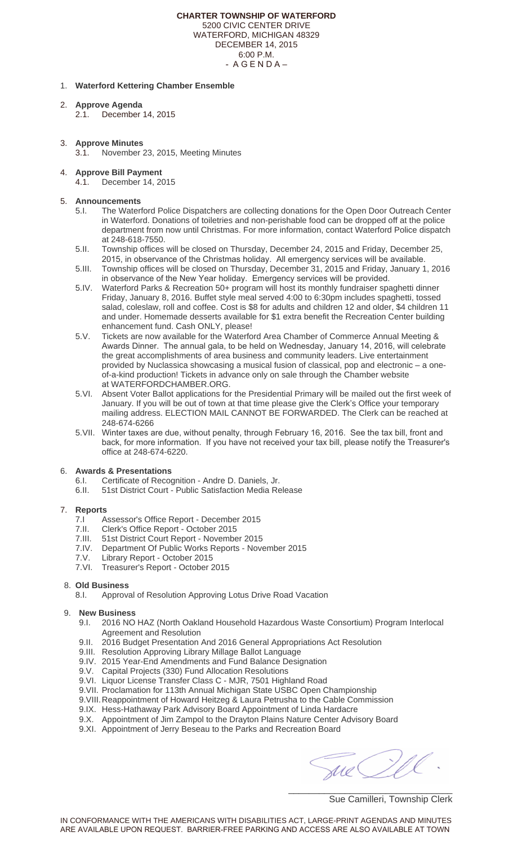4.1. December 14, 2015

## 5. **Announcements**

- 5.I. The Waterford Police Dispatchers are collecting donations for the Open Door Outreach Center in Waterford. Donations of toiletries and non-perishable food can be dropped off at the police department from now until Christmas. For more information, contact Waterford Police dispatch at 248-618-7550.
- 5.II. Township offices will be closed on Thursday, December 24, 2015 and Friday, December 25, 2015, in observance of the Christmas holiday. All emergency services will be available.
- 5.III. Township offices will be closed on Thursday, December 31, 2015 and Friday, January 1, 2016 in observance of the New Year holiday. Emergency services will be provided.
- 5.IV. Waterford Parks & Recreation 50+ program will host its monthly fundraiser spaghetti dinner Friday, January 8, 2016. Buffet style meal served 4:00 to 6:30pm includes spaghetti, tossed salad, coleslaw, roll and coffee. Cost is \$8 for adults and children 12 and older, \$4 children 11 and under. Homemade desserts available for \$1 extra benefit the Recreation Center building enhancement fund. Cash ONLY, please!
- 5.V. Tickets are now available for the Waterford Area Chamber of Commerce Annual Meeting & Awards Dinner. The annual gala, to be held on Wednesday, January 14, 2016, will celebrate the great accomplishments of area business and community leaders. Live entertainment provided by Nuclassica showcasing a musical fusion of classical, pop and electronic – a oneof-a-kind production! Tickets in advance only on sale through the Chamber website at WATERFORDCHAMBER.ORG.
- 5.VI. Absent Voter Ballot applications for the Presidential Primary will be mailed out the first week of January. If you will be out of town at that time please give the Clerk's Office your temporary mailing address. ELECTION MAIL CANNOT BE FORWARDED. The Clerk can be reached at 248-674-6266
- 5.VII. Winter taxes are due, without penalty, through February 16, 2016. See the tax bill, front and back, for more information. If you have not received your tax bill, please notify the Treasurer's office at 248-674-6220.

## 6. **Awards & Presentations**

- 6.I. Certificate of Recognition Andre D. Daniels, Jr.
- 6.II. 51st District Court Public Satisfaction Media Release

#### 7. **Reports**

- 7.I Assessor's Office Report December 2015
- 7.II. Clerk's Office Report October 2015
- 7.III. 51st District Court Report November 2015
- 7.IV. Department Of Public Works Reports November 2015
- 7.V. Library Report October 2015
- 7.VI. Tr[easurer's Report October 2015](http://www.waterfordchamber.org/)

## 8. **Old Business**

Approval of Resolution Approving Lotus Drive Road Vacation

# 9. **New Business**

- 9.I. 2016 NO HAZ (North Oakland Household Hazardous Waste Consortium) Program Interlocal Agreement and Resolution
- 9.II. 2016 Budget Presentation And 2016 General Appropriations Act Resolution
- 9.III. Resolution Approving Library Millage Ballot Language
- 9.IV. 2015 Year-End Amendments and Fund Balance Designation
- 9.V. Capital Projects (330) Fund Allocation Resolutions
- 9.VI. Liquor License Transfer Class C MJR, 7501 Highland Road
- 9.VII. Proclamation for 113th Annual Michigan State USBC Open Championship
- 9.VIII.Reappointment of Howard Heitzeg & Laura Petrusha to the Cable Commission
- 9.IX. Hess-Hathaway Park Advisory Board Appointment of Linda Hardacre
- 9.X. Appointment of Jim Zampol to the Drayton Plains Nature Center Advisory Board
- 9.XI. Appointment of Jerry Beseau to the Parks and Recreation Board

\_\_\_\_\_\_\_\_\_\_\_\_\_\_\_\_\_\_\_\_\_\_\_\_\_\_\_\_\_\_\_\_

Sue Camilleri, Township Clerk